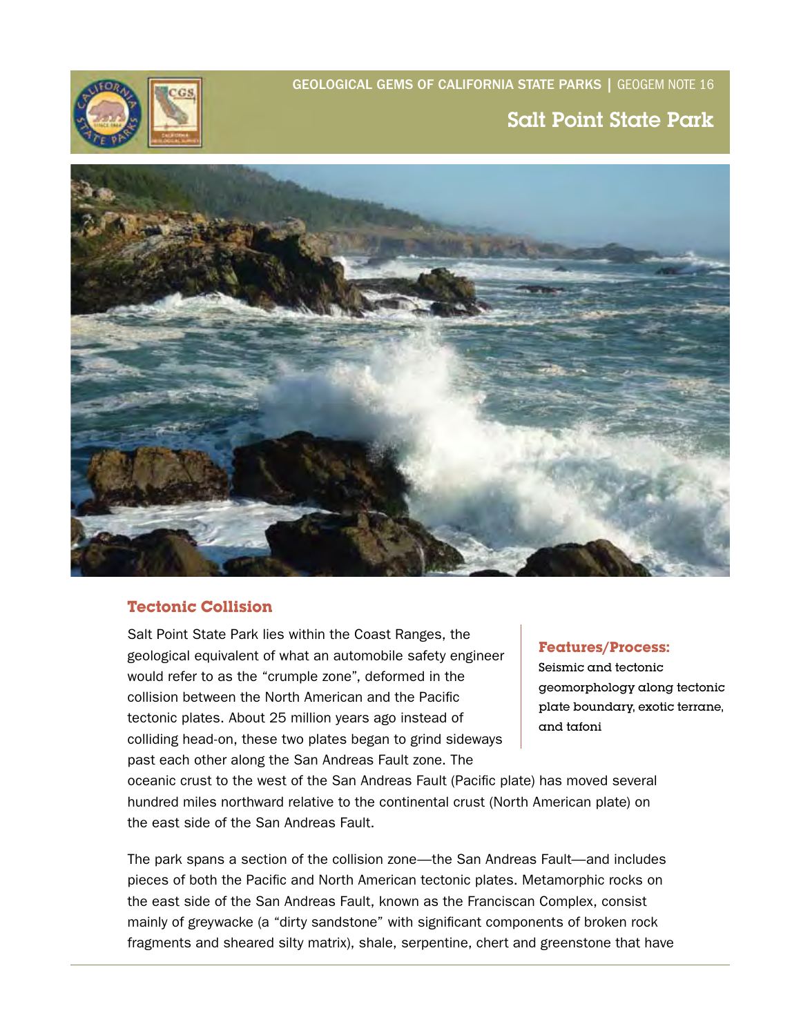GEoLoGiCAL GEMS of CALifoRNiA StAtE PARkS | GEOGEM NOTE 16



# Salt Point State Park



## **Tectonic Collision**

Salt Point State Park lies within the Coast Ranges, the geological equivalent of what an automobile safety engineer would refer to as the "crumple zone", deformed in the collision between the North American and the Pacific tectonic plates. About 25 million years ago instead of colliding head-on, these two plates began to grind sideways past each other along the San Andreas Fault zone. The

oceanic crust to the west of the San Andreas Fault (Pacific plate) has moved several hundred miles northward relative to the continental crust (North American plate) on the east side of the San Andreas Fault.

The park spans a section of the collision zone—the San Andreas Fault—and includes pieces of both the Pacific and North American tectonic plates. Metamorphic rocks on the east side of the San Andreas Fault, known as the Franciscan Complex, consist mainly of greywacke (a "dirty sandstone" with significant components of broken rock fragments and sheared silty matrix), shale, serpentine, chert and greenstone that have

#### **Features/Process:**

Seismic and tectonic geomorphology along tectonic plate boundary, exotic terrane, and tafoni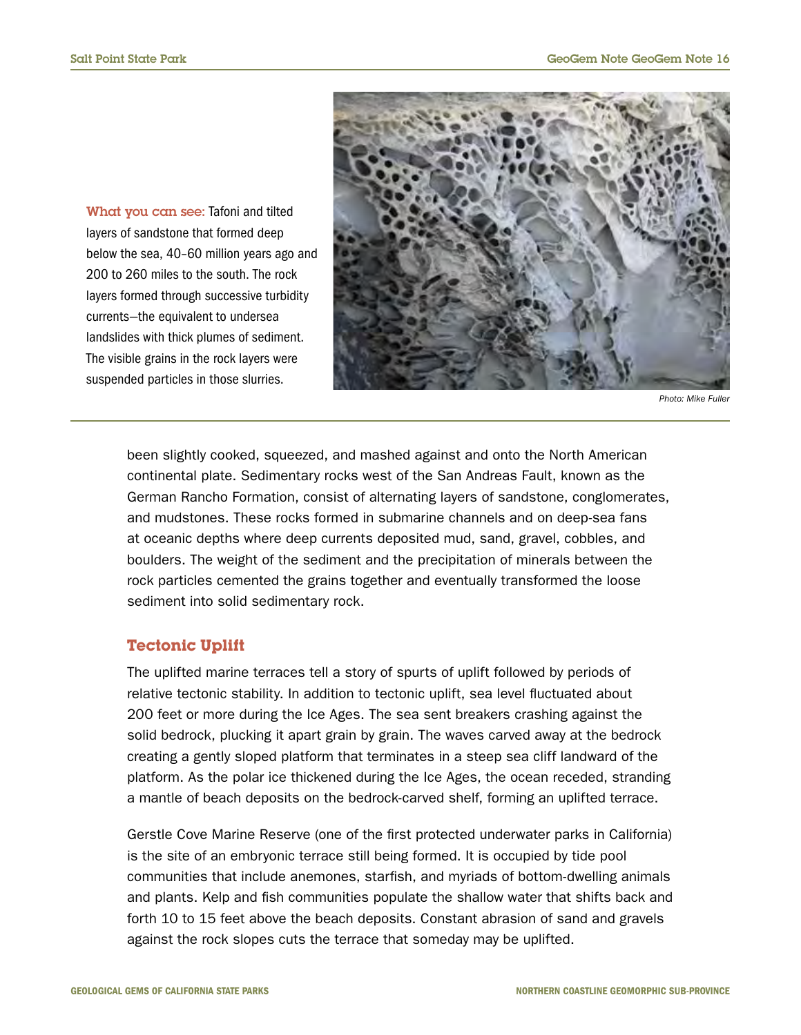What you can see: Tafoni and tilted layers of sandstone that formed deep below the sea, 40–60 million years ago and 200 to 260 miles to the south. The rock layers formed through successive turbidity currents—the equivalent to undersea landslides with thick plumes of sediment. The visible grains in the rock layers were suspended particles in those slurries.



*Photo: Mike Fuller* 

been slightly cooked, squeezed, and mashed against and onto the North American continental plate. Sedimentary rocks west of the San Andreas Fault, known as the German Rancho Formation, consist of alternating layers of sandstone, conglomerates, and mudstones. These rocks formed in submarine channels and on deep-sea fans at oceanic depths where deep currents deposited mud, sand, gravel, cobbles, and boulders. The weight of the sediment and the precipitation of minerals between the rock particles cemented the grains together and eventually transformed the loose sediment into solid sedimentary rock.

#### **Tectonic Uplift**

The uplifted marine terraces tell a story of spurts of uplift followed by periods of relative tectonic stability. In addition to tectonic uplift, sea level fluctuated about 200 feet or more during the Ice Ages. The sea sent breakers crashing against the solid bedrock, plucking it apart grain by grain. The waves carved away at the bedrock creating a gently sloped platform that terminates in a steep sea cliff landward of the platform. As the polar ice thickened during the Ice Ages, the ocean receded, stranding a mantle of beach deposits on the bedrock-carved shelf, forming an uplifted terrace.

Gerstle Cove Marine Reserve (one of the first protected underwater parks in California) is the site of an embryonic terrace still being formed. It is occupied by tide pool communities that include anemones, starfish, and myriads of bottom-dwelling animals and plants. Kelp and fish communities populate the shallow water that shifts back and forth 10 to 15 feet above the beach deposits. Constant abrasion of sand and gravels against the rock slopes cuts the terrace that someday may be uplifted.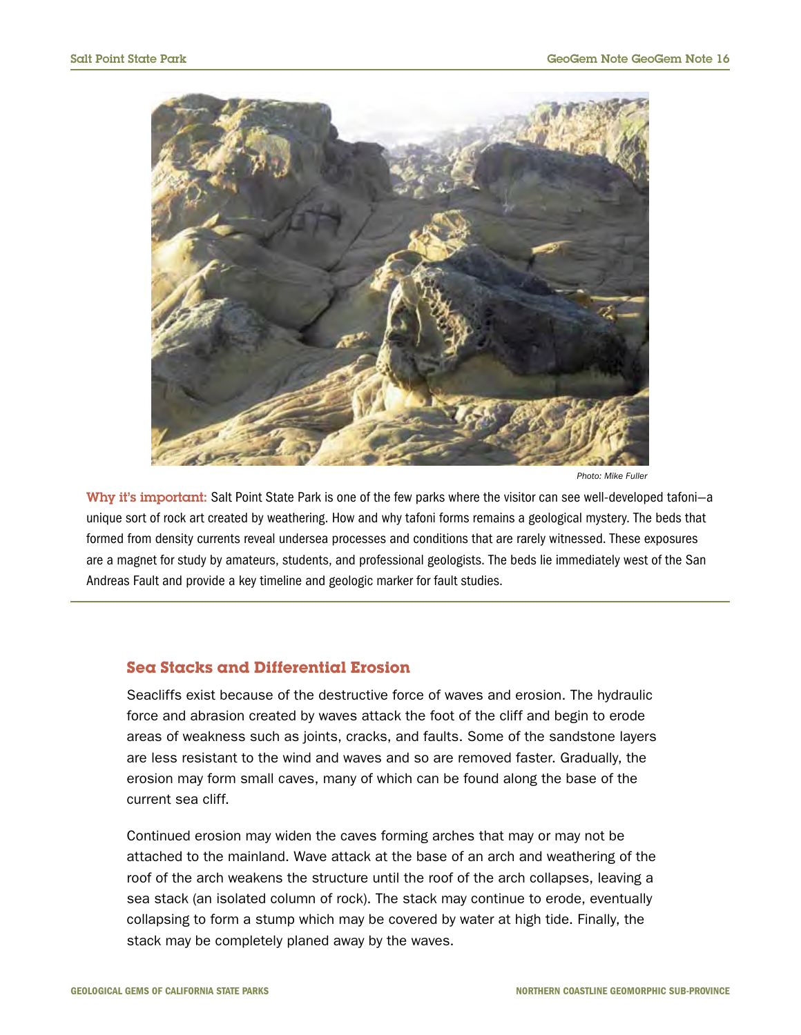

*Photo: Mike Fuller* 

Why it's important: Salt Point State Park is one of the few parks where the visitor can see well-developed tafoni-a unique sort of rock art created by weathering. How and why tafoni forms remains a geological mystery. The beds that formed from density currents reveal undersea processes and conditions that are rarely witnessed. These exposures are a magnet for study by amateurs, students, and professional geologists. The beds lie immediately west of the San Andreas Fault and provide a key timeline and geologic marker for fault studies.

#### **Sea Stacks and Differential Erosion**

Seacliffs exist because of the destructive force of waves and erosion. The hydraulic force and abrasion created by waves attack the foot of the cliff and begin to erode areas of weakness such as joints, cracks, and faults. Some of the sandstone layers are less resistant to the wind and waves and so are removed faster. Gradually, the erosion may form small caves, many of which can be found along the base of the current sea cliff.

Continued erosion may widen the caves forming arches that may or may not be attached to the mainland. Wave attack at the base of an arch and weathering of the roof of the arch weakens the structure until the roof of the arch collapses, leaving a sea stack (an isolated column of rock). The stack may continue to erode, eventually collapsing to form a stump which may be covered by water at high tide. Finally, the stack may be completely planed away by the waves.